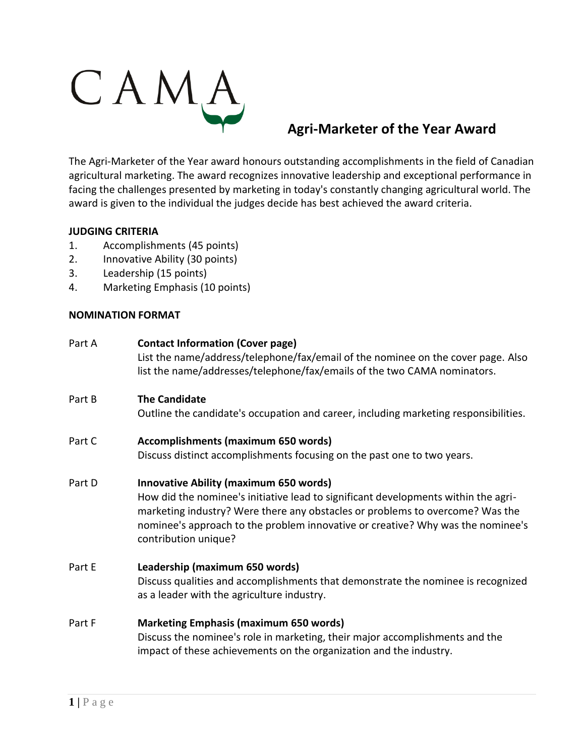

## **Agri-Marketer of the Year Award**

The Agri-Marketer of the Year award honours outstanding accomplishments in the field of Canadian agricultural marketing. The award recognizes innovative leadership and exceptional performance in facing the challenges presented by marketing in today's constantly changing agricultural world. The award is given to the individual the judges decide has best achieved the award criteria.

## **JUDGING CRITERIA**

- 1. Accomplishments (45 points)
- 2. Innovative Ability (30 points)
- 3. Leadership (15 points)
- 4. Marketing Emphasis (10 points)

## **NOMINATION FORMAT**

| Part A | <b>Contact Information (Cover page)</b><br>List the name/address/telephone/fax/email of the nominee on the cover page. Also<br>list the name/addresses/telephone/fax/emails of the two CAMA nominators.                                                                                                                         |
|--------|---------------------------------------------------------------------------------------------------------------------------------------------------------------------------------------------------------------------------------------------------------------------------------------------------------------------------------|
| Part B | <b>The Candidate</b><br>Outline the candidate's occupation and career, including marketing responsibilities.                                                                                                                                                                                                                    |
| Part C | Accomplishments (maximum 650 words)<br>Discuss distinct accomplishments focusing on the past one to two years.                                                                                                                                                                                                                  |
| Part D | <b>Innovative Ability (maximum 650 words)</b><br>How did the nominee's initiative lead to significant developments within the agri-<br>marketing industry? Were there any obstacles or problems to overcome? Was the<br>nominee's approach to the problem innovative or creative? Why was the nominee's<br>contribution unique? |
| Part E | Leadership (maximum 650 words)<br>Discuss qualities and accomplishments that demonstrate the nominee is recognized<br>as a leader with the agriculture industry.                                                                                                                                                                |
| Part F | <b>Marketing Emphasis (maximum 650 words)</b><br>المتعالجات والمتحادث والمتارين والمتحدث والمتحادث والجامع والمتحادين والمتحام والمتحادث والمتحدث والمستحدثات                                                                                                                                                                   |

Discuss the nominee's role in marketing, their major accomplishments and the impact of these achievements on the organization and the industry.